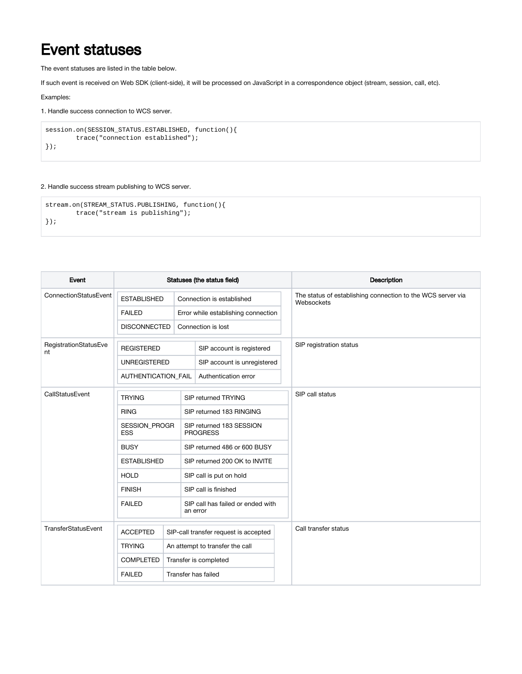## Event statuses

The event statuses are listed in the table below.

If such event is received on Web SDK (client-side), it will be processed on JavaScript in a correspondence object (stream, session, call, etc).

Examples:

1. Handle success connection to WCS server.

```
session.on(SESSION_STATUS.ESTABLISHED, function(){
        trace("connection established");
});
```
## 2. Handle success stream publishing to WCS server.

```
stream.on(STREAM_STATUS.PUBLISHING, function(){
        trace("stream is publishing");
});
```

| Event                       | Statuses (the status field) |                       |                                               |  | Description                                                               |  |
|-----------------------------|-----------------------------|-----------------------|-----------------------------------------------|--|---------------------------------------------------------------------------|--|
| ConnectionStatusEvent       | <b>ESTABLISHED</b>          |                       | Connection is established                     |  | The status of establishing connection to the WCS server via<br>Websockets |  |
|                             | <b>FAILED</b>               |                       | Error while establishing connection           |  |                                                                           |  |
|                             | <b>DISCONNECTED</b>         |                       | Connection is lost                            |  |                                                                           |  |
| RegistrationStatusEve<br>nt | <b>REGISTERED</b>           |                       | SIP account is registered                     |  | SIP registration status                                                   |  |
|                             | <b>UNREGISTERED</b>         |                       | SIP account is unregistered                   |  |                                                                           |  |
|                             | <b>AUTHENTICATION FAIL</b>  |                       | Authentication error                          |  |                                                                           |  |
| CallStatusEvent             | <b>TRYING</b>               |                       | SIP returned TRYING                           |  | SIP call status                                                           |  |
|                             | <b>RING</b>                 |                       | SIP returned 183 RINGING                      |  |                                                                           |  |
|                             | SESSION_PROGR<br><b>ESS</b> |                       | SIP returned 183 SESSION<br><b>PROGRESS</b>   |  |                                                                           |  |
|                             | <b>BUSY</b>                 |                       | SIP returned 486 or 600 BUSY                  |  |                                                                           |  |
|                             | <b>ESTABLISHED</b>          |                       | SIP returned 200 OK to INVITE                 |  |                                                                           |  |
|                             | <b>HOLD</b>                 |                       | SIP call is put on hold                       |  |                                                                           |  |
|                             | <b>FINISH</b>               |                       | SIP call is finished                          |  |                                                                           |  |
|                             | <b>FAILED</b>               |                       | SIP call has failed or ended with<br>an error |  |                                                                           |  |
| TransferStatusEvent         | <b>ACCEPTED</b>             |                       | SIP-call transfer request is accepted         |  | Call transfer status                                                      |  |
|                             | <b>TRYING</b>               |                       | An attempt to transfer the call               |  |                                                                           |  |
|                             | <b>COMPLETED</b>            | Transfer is completed |                                               |  |                                                                           |  |
|                             | <b>FAILED</b>               | Transfer has failed   |                                               |  |                                                                           |  |